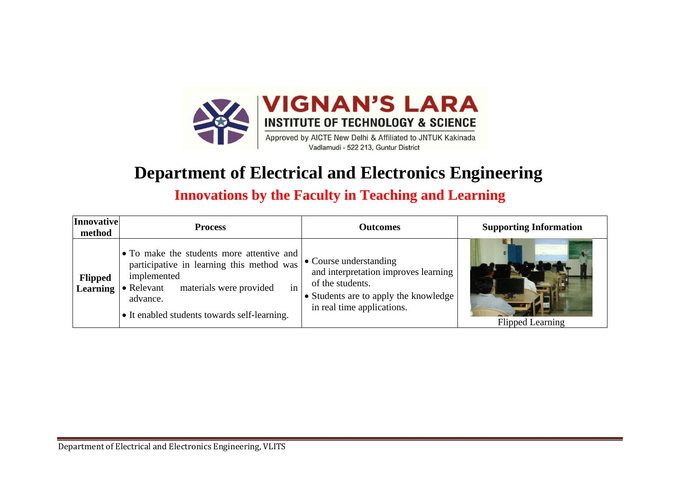

## **Department of Electrical and Electronics Engineering**

## **Innovations by the Faculty in Teaching and Learning**

| Innovative<br>method       | <b>Process</b>                                                                                                                                                                                                           | <b>Outcomes</b>                                                                                                                                           | <b>Supporting Information</b> |
|----------------------------|--------------------------------------------------------------------------------------------------------------------------------------------------------------------------------------------------------------------------|-----------------------------------------------------------------------------------------------------------------------------------------------------------|-------------------------------|
| <b>Flipped</b><br>Learning | • To make the students more attentive and<br>participative in learning this method was<br>implemented<br>materials were provided<br>in<br>$\bullet$ Relevant<br>advance.<br>• It enabled students towards self-learning. | • Course understanding<br>and interpretation improves learning<br>of the students.<br>• Students are to apply the knowledge<br>in real time applications. | <b>Flipped Learning</b>       |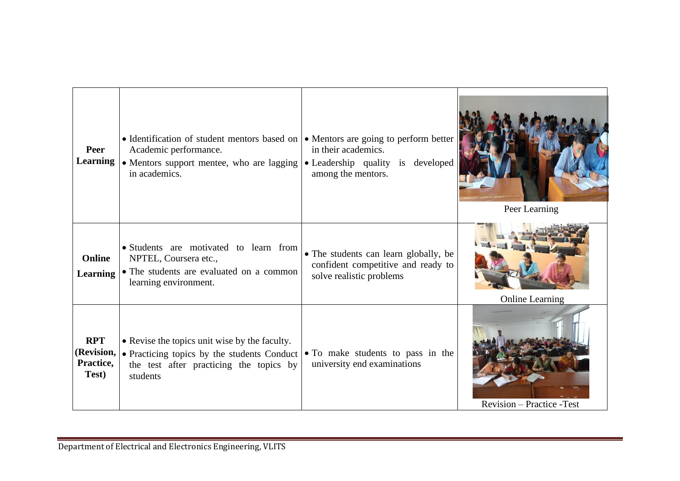| Peer<br><b>Learning</b>                        | • Identification of student mentors based on<br>Academic performance.<br>• Mentors support mentee, who are lagging<br>in academics.                 | • Mentors are going to perform better<br>in their academics.<br>• Leadership quality is developed<br>among the mentors. | Peer Learning              |
|------------------------------------------------|-----------------------------------------------------------------------------------------------------------------------------------------------------|-------------------------------------------------------------------------------------------------------------------------|----------------------------|
| <b>Online</b><br><b>Learning</b>               | · Students are motivated to learn from<br>NPTEL, Coursera etc.,<br>• The students are evaluated on a common<br>learning environment.                | • The students can learn globally, be<br>confident competitive and ready to<br>solve realistic problems                 | <b>Online Learning</b>     |
| <b>RPT</b><br>(Revision,<br>Practice,<br>Test) | • Revise the topics unit wise by the faculty.<br>• Practicing topics by the students Conduct<br>the test after practicing the topics by<br>students | • To make students to pass in the<br>university end examinations                                                        | Revision - Practice - Test |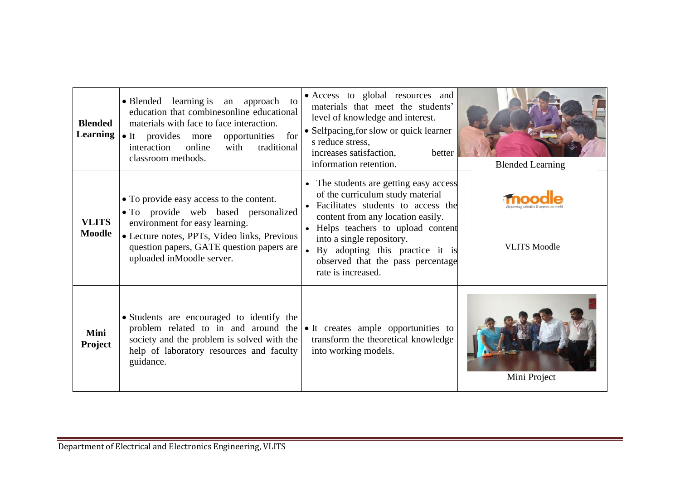| <b>Blended</b><br><b>Learning</b> | • Blended learning is an approach to<br>education that combinesonline educational<br>materials with face to face interaction.<br>• It provides more opportunities for<br>online<br>with<br>interaction<br>traditional<br>classroom methods. | • Access to global resources and<br>materials that meet the students'<br>level of knowledge and interest.<br>• Selfpacing, for slow or quick learner<br>s reduce stress,<br>increases satisfaction,<br>better<br>information retention.                                                                                    | <b>Blended Learning</b> |
|-----------------------------------|---------------------------------------------------------------------------------------------------------------------------------------------------------------------------------------------------------------------------------------------|----------------------------------------------------------------------------------------------------------------------------------------------------------------------------------------------------------------------------------------------------------------------------------------------------------------------------|-------------------------|
| <b>VLITS</b><br><b>Moodle</b>     | • To provide easy access to the content.<br>• To provide web based personalized<br>environment for easy learning.<br>· Lecture notes, PPTs, Video links, Previous<br>question papers, GATE question papers are<br>uploaded inMoodle server. | • The students are getting easy access<br>of the curriculum study material<br>• Facilitates students to access the<br>content from any location easily.<br>• Helps teachers to upload content<br>into a single repository.<br>• By adopting this practice it is<br>observed that the pass percentage<br>rate is increased. | <b>VLITS Moodle</b>     |
| Mini<br><b>Project</b>            | • Students are encouraged to identify the<br>problem related to in and around the<br>society and the problem is solved with the<br>help of laboratory resources and faculty<br>guidance.                                                    | • It creates ample opportunities to<br>transform the theoretical knowledge<br>into working models.                                                                                                                                                                                                                         | Mini Project            |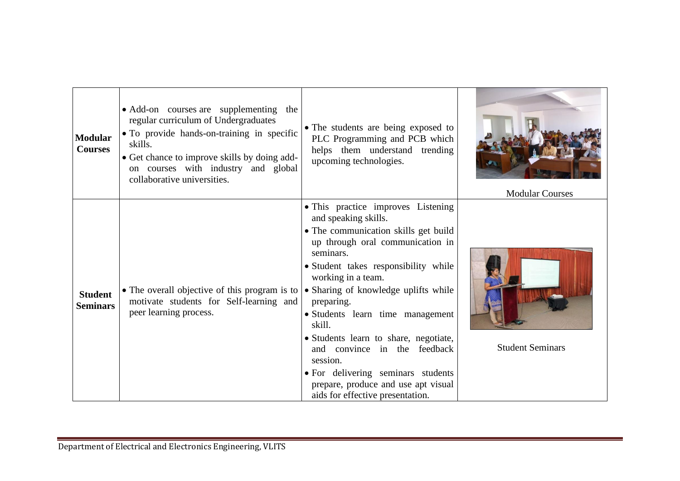| <b>Modular</b><br><b>Courses</b>  | • Add-on courses are supplementing<br>the<br>regular curriculum of Undergraduates<br>• To provide hands-on-training in specific<br>skills.<br>• Get chance to improve skills by doing add-<br>on courses with industry and global<br>collaborative universities. | • The students are being exposed to<br>PLC Programming and PCB which<br>helps them understand trending<br>upcoming technologies.                                                                                                                                                                                                                                                                                                                                                                                            | <b>Modular Courses</b>  |
|-----------------------------------|------------------------------------------------------------------------------------------------------------------------------------------------------------------------------------------------------------------------------------------------------------------|-----------------------------------------------------------------------------------------------------------------------------------------------------------------------------------------------------------------------------------------------------------------------------------------------------------------------------------------------------------------------------------------------------------------------------------------------------------------------------------------------------------------------------|-------------------------|
| <b>Student</b><br><b>Seminars</b> | • The overall objective of this program is to $\vert$<br>motivate students for Self-learning and<br>peer learning process.                                                                                                                                       | • This practice improves Listening<br>and speaking skills.<br>· The communication skills get build<br>up through oral communication in<br>seminars.<br>· Student takes responsibility while<br>working in a team.<br>• Sharing of knowledge uplifts while<br>preparing.<br>• Students learn time management<br>skill.<br>• Students learn to share, negotiate,<br>and convince in the feedback<br>session.<br>• For delivering seminars students<br>prepare, produce and use apt visual<br>aids for effective presentation. | <b>Student Seminars</b> |